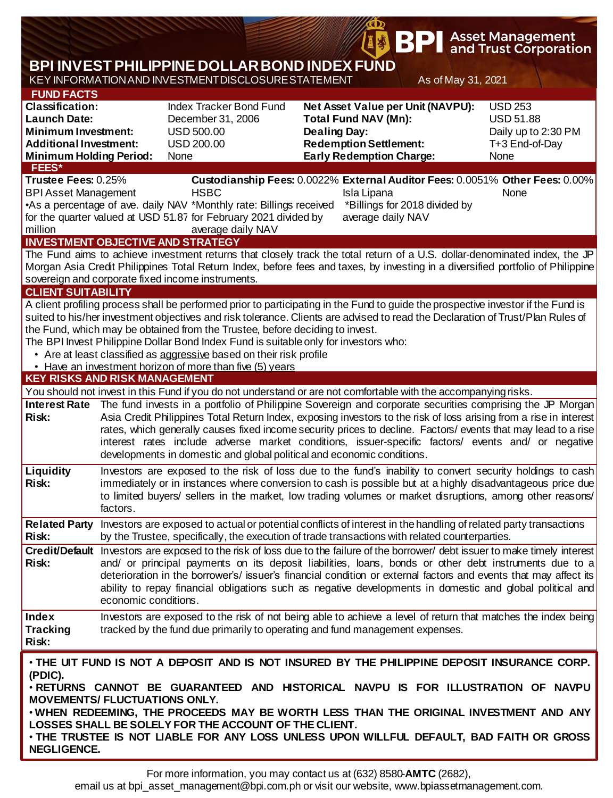|                                                                                                                               |                                                                                                                                                                                                                         |                                                                                                                                                                                                                                      |                             | <b>\$ BPI</b>                                                    |                     | <b>Asset Management</b><br>and Trust Corporation                             |  |  |
|-------------------------------------------------------------------------------------------------------------------------------|-------------------------------------------------------------------------------------------------------------------------------------------------------------------------------------------------------------------------|--------------------------------------------------------------------------------------------------------------------------------------------------------------------------------------------------------------------------------------|-----------------------------|------------------------------------------------------------------|---------------------|------------------------------------------------------------------------------|--|--|
|                                                                                                                               |                                                                                                                                                                                                                         | <b>BPI INVEST PHILIPPINE DOLLAR BOND INDEX FUND</b>                                                                                                                                                                                  |                             |                                                                  |                     |                                                                              |  |  |
|                                                                                                                               |                                                                                                                                                                                                                         | KEY INFORMATION AND INVESTMENT DISCLOSURE STATEMENT                                                                                                                                                                                  |                             |                                                                  | As of May 31, 2021  |                                                                              |  |  |
| <b>FUND FACTS</b><br><b>Classification:</b>                                                                                   |                                                                                                                                                                                                                         | Index Tracker Bond Fund                                                                                                                                                                                                              |                             | Net Asset Value per Unit (NAVPU):                                |                     | <b>USD 253</b>                                                               |  |  |
| <b>Launch Date:</b>                                                                                                           |                                                                                                                                                                                                                         | December 31, 2006                                                                                                                                                                                                                    | <b>Total Fund NAV (Mn):</b> |                                                                  | <b>USD 51.88</b>    |                                                                              |  |  |
| <b>Minimum Investment:</b><br><b>Additional Investment:</b>                                                                   |                                                                                                                                                                                                                         | <b>USD 500.00</b>                                                                                                                                                                                                                    | <b>Dealing Day:</b>         |                                                                  | Daily up to 2:30 PM |                                                                              |  |  |
| <b>Minimum Holding Period:</b>                                                                                                |                                                                                                                                                                                                                         | <b>USD 200.00</b><br>None                                                                                                                                                                                                            |                             | <b>Redemption Settlement:</b><br><b>Early Redemption Charge:</b> |                     | T+3 End-of-Day<br>None                                                       |  |  |
| <b>FEES*</b>                                                                                                                  |                                                                                                                                                                                                                         |                                                                                                                                                                                                                                      |                             |                                                                  |                     |                                                                              |  |  |
| Trustee Fees: 0.25%                                                                                                           |                                                                                                                                                                                                                         |                                                                                                                                                                                                                                      |                             |                                                                  |                     | Custodianship Fees: 0.0022% External Auditor Fees: 0.0051% Other Fees: 0.00% |  |  |
| <b>BPI Asset Management</b>                                                                                                   |                                                                                                                                                                                                                         | <b>HSBC</b><br>•As a percentage of ave. daily NAV *Monthly rate: Billings received                                                                                                                                                   |                             | Isla Lipana<br>*Billings for 2018 divided by                     |                     | None                                                                         |  |  |
|                                                                                                                               |                                                                                                                                                                                                                         | for the quarter valued at USD 51.87 for February 2021 divided by                                                                                                                                                                     |                             | average daily NAV                                                |                     |                                                                              |  |  |
| million                                                                                                                       |                                                                                                                                                                                                                         | average daily NAV                                                                                                                                                                                                                    |                             |                                                                  |                     |                                                                              |  |  |
|                                                                                                                               |                                                                                                                                                                                                                         | <b>INVESTMENT OBJECTIVE AND STRATEGY</b>                                                                                                                                                                                             |                             |                                                                  |                     |                                                                              |  |  |
|                                                                                                                               |                                                                                                                                                                                                                         | The Fund aims to achieve investment returns that closely track the total return of a U.S. dollar-denominated index, the JP                                                                                                           |                             |                                                                  |                     |                                                                              |  |  |
|                                                                                                                               |                                                                                                                                                                                                                         | Morgan Asia Credit Philippines Total Return Index, before fees and taxes, by investing in a diversified portfolio of Philippine<br>sovereign and corporate fixed income instruments.                                                 |                             |                                                                  |                     |                                                                              |  |  |
| <b>CLIENT SUITABILITY</b>                                                                                                     |                                                                                                                                                                                                                         |                                                                                                                                                                                                                                      |                             |                                                                  |                     |                                                                              |  |  |
|                                                                                                                               |                                                                                                                                                                                                                         | A client profiling process shall be performed prior to participating in the Fund to guide the prospective investor if the Fund is                                                                                                    |                             |                                                                  |                     |                                                                              |  |  |
|                                                                                                                               |                                                                                                                                                                                                                         | suited to his/her investment objectives and risk tolerance. Clients are advised to read the Declaration of Trust/Plan Rules of                                                                                                       |                             |                                                                  |                     |                                                                              |  |  |
|                                                                                                                               |                                                                                                                                                                                                                         | the Fund, which may be obtained from the Trustee, before deciding to invest.<br>The BPI Invest Philippine Dollar Bond Index Fund is suitable only for investors who:                                                                 |                             |                                                                  |                     |                                                                              |  |  |
|                                                                                                                               |                                                                                                                                                                                                                         | • Are at least classified as aggressive based on their risk profile                                                                                                                                                                  |                             |                                                                  |                     |                                                                              |  |  |
|                                                                                                                               |                                                                                                                                                                                                                         | • Have an investment horizon of more than five (5) years                                                                                                                                                                             |                             |                                                                  |                     |                                                                              |  |  |
| <b>KEY RISKS AND RISK MANAGEMENT</b>                                                                                          |                                                                                                                                                                                                                         |                                                                                                                                                                                                                                      |                             |                                                                  |                     |                                                                              |  |  |
|                                                                                                                               |                                                                                                                                                                                                                         | You should not invest in this Fund if you do not understand or are not comfortable with the accompanying risks.                                                                                                                      |                             |                                                                  |                     |                                                                              |  |  |
| <b>Risk:</b>                                                                                                                  | Interest Rate The fund invests in a portfolio of Philippine Sovereign and corporate securities comprising the JP Morgan                                                                                                 |                                                                                                                                                                                                                                      |                             |                                                                  |                     |                                                                              |  |  |
|                                                                                                                               |                                                                                                                                                                                                                         | Asia Credit Philippines Total Return Index, exposing investors to the risk of loss arising from a rise in interest<br>rates, which generally causes fixed income security prices to decline. Factors/ events that may lead to a rise |                             |                                                                  |                     |                                                                              |  |  |
|                                                                                                                               |                                                                                                                                                                                                                         | interest rates include adverse market conditions, issuer-specific factors/ events and/ or negative                                                                                                                                   |                             |                                                                  |                     |                                                                              |  |  |
|                                                                                                                               |                                                                                                                                                                                                                         | developments in domestic and global political and economic conditions.                                                                                                                                                               |                             |                                                                  |                     |                                                                              |  |  |
| <b>Liquidity</b>                                                                                                              |                                                                                                                                                                                                                         | Investors are exposed to the risk of loss due to the fund's inability to convert security holdings to cash                                                                                                                           |                             |                                                                  |                     |                                                                              |  |  |
| <b>Risk:</b>                                                                                                                  | immediately or in instances where conversion to cash is possible but at a highly disadvantageous price due<br>to limited buyers/ sellers in the market, low trading volumes or market disruptions, among other reasons/ |                                                                                                                                                                                                                                      |                             |                                                                  |                     |                                                                              |  |  |
|                                                                                                                               | factors.                                                                                                                                                                                                                |                                                                                                                                                                                                                                      |                             |                                                                  |                     |                                                                              |  |  |
| <b>Related Party</b>                                                                                                          |                                                                                                                                                                                                                         | Investors are exposed to actual or potential conflicts of interest in the handling of related party transactions                                                                                                                     |                             |                                                                  |                     |                                                                              |  |  |
| <b>Risk:</b>                                                                                                                  |                                                                                                                                                                                                                         | by the Trustee, specifically, the execution of trade transactions with related counterparties.                                                                                                                                       |                             |                                                                  |                     |                                                                              |  |  |
|                                                                                                                               |                                                                                                                                                                                                                         | Credit/Default Investors are exposed to the risk of loss due to the failure of the borrower/ debt issuer to make timely interest                                                                                                     |                             |                                                                  |                     |                                                                              |  |  |
| <b>Risk:</b>                                                                                                                  |                                                                                                                                                                                                                         | and/ or principal payments on its deposit liabilities, loans, bonds or other debt instruments due to a                                                                                                                               |                             |                                                                  |                     |                                                                              |  |  |
|                                                                                                                               |                                                                                                                                                                                                                         | deterioration in the borrower's/ issuer's financial condition or external factors and events that may affect its<br>ability to repay financial obligations such as negative developments in domestic and global political and        |                             |                                                                  |                     |                                                                              |  |  |
|                                                                                                                               | economic conditions.                                                                                                                                                                                                    |                                                                                                                                                                                                                                      |                             |                                                                  |                     |                                                                              |  |  |
| Index                                                                                                                         |                                                                                                                                                                                                                         | Investors are exposed to the risk of not being able to achieve a level of return that matches the index being                                                                                                                        |                             |                                                                  |                     |                                                                              |  |  |
| <b>Tracking</b>                                                                                                               |                                                                                                                                                                                                                         | tracked by the fund due primarily to operating and fund management expenses.                                                                                                                                                         |                             |                                                                  |                     |                                                                              |  |  |
| <b>Risk:</b>                                                                                                                  |                                                                                                                                                                                                                         |                                                                                                                                                                                                                                      |                             |                                                                  |                     |                                                                              |  |  |
| . THE UIT FUND IS NOT A DEPOSIT AND IS NOT INSURED BY THE PHILIPPINE DEPOSIT INSURANCE CORP.                                  |                                                                                                                                                                                                                         |                                                                                                                                                                                                                                      |                             |                                                                  |                     |                                                                              |  |  |
| (PDIC).                                                                                                                       |                                                                                                                                                                                                                         |                                                                                                                                                                                                                                      |                             |                                                                  |                     |                                                                              |  |  |
| . RETURNS CANNOT BE GUARANTEED AND HISTORICAL NAVPU IS FOR ILLUSTRATION OF NAVPU                                              |                                                                                                                                                                                                                         |                                                                                                                                                                                                                                      |                             |                                                                  |                     |                                                                              |  |  |
| <b>MOVEMENTS/ FLUCTUATIONS ONLY.</b><br>. WHEN REDEEMING, THE PROCEEDS MAY BE WORTH LESS THAN THE ORIGINAL INVESTMENT AND ANY |                                                                                                                                                                                                                         |                                                                                                                                                                                                                                      |                             |                                                                  |                     |                                                                              |  |  |
| LOSSES SHALL BE SOLELY FOR THE ACCOUNT OF THE CLIENT.                                                                         |                                                                                                                                                                                                                         |                                                                                                                                                                                                                                      |                             |                                                                  |                     |                                                                              |  |  |
| . THE TRUSTEE IS NOT LIABLE FOR ANY LOSS UNLESS UPON WILLFUL DEFAULT, BAD FAITH OR GROSS                                      |                                                                                                                                                                                                                         |                                                                                                                                                                                                                                      |                             |                                                                  |                     |                                                                              |  |  |
| <b>NEGLIGENCE.</b>                                                                                                            |                                                                                                                                                                                                                         |                                                                                                                                                                                                                                      |                             |                                                                  |                     |                                                                              |  |  |

Φ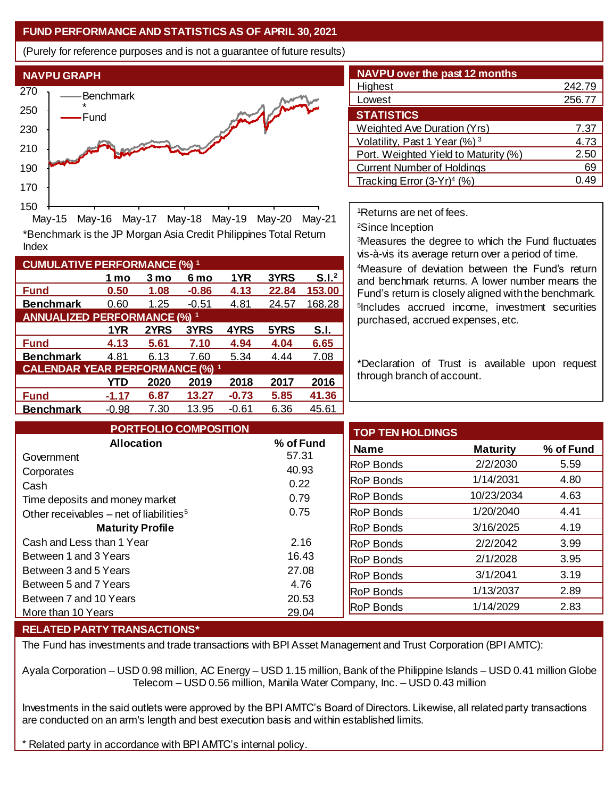## **FUND PERFORMANCE AND STATISTICS AS OF APRIL 30, 2021**

(Purely for reference purposes and is not a guarantee of future results)



**Fund 0.50 1.08 -0.86 4.13 22.84 153.00 Benchmark** 0.60 1.25 -0.51 4.81 24.57 168.28

\*Benchmark is the JP Morgan Asia Credit Philippines Total Return

May-15 May-16 May-17 May-18 May-19 May-20 May-21

**Fund 4.13 5.61 7.10 4.94 4.04 6.65 Benchmark** 4.81 6.13 7.60 5.34 4.44 7.08

**Fund -1.17 6.87 13.27 -0.73 5.85 41.36 Benchmark** -0.98 7.30 13.95 -0.61 6.36 45.61

**1 mo 3 mo 6 mo 1YR 3YRS S.I.<sup>2</sup>**

**1YR 2YRS 3YRS 4YRS 5YRS S.I.**

**YTD 2020 2019 2018 2017 2016**

| <b>NAVPU over the past 12 months</b>     |        |  |  |  |  |  |
|------------------------------------------|--------|--|--|--|--|--|
| Highest                                  | 242.79 |  |  |  |  |  |
| Lowest                                   | 256.77 |  |  |  |  |  |
| <b>STATISTICS</b>                        |        |  |  |  |  |  |
| Weighted Ave Duration (Yrs)              | 7.37   |  |  |  |  |  |
| Volatility, Past 1 Year (%) <sup>3</sup> | 4.73   |  |  |  |  |  |
| Port. Weighted Yield to Maturity (%)     | 2.50   |  |  |  |  |  |
| <b>Current Number of Holdings</b>        | 69     |  |  |  |  |  |
| Tracking Error $(3-Yr)^4$ (%)            |        |  |  |  |  |  |

<sup>1</sup>Returns are net of fees.

<sup>2</sup>Since Inception

<sup>3</sup>Measures the degree to which the Fund fluctuates vis-à-vis its average return over a period of time.

<sup>4</sup>Measure of deviation between the Fund's return and benchmark returns. A lower number means the Fund's return is closely aligned with the benchmark. 5 Includes accrued income, investment securities purchased, accrued expenses, etc.

\*Declaration of Trust is available upon request through branch of account.

| <b>PORTFOLIO COMPOSITION</b>                        |           | <b>TOP TEN HOLDINGS</b> |                 |           |
|-----------------------------------------------------|-----------|-------------------------|-----------------|-----------|
| <b>Allocation</b>                                   | % of Fund | <b>Name</b>             | <b>Maturity</b> | % of Fund |
| Government                                          | 57.31     | <b>RoP Bonds</b>        | 2/2/2030        | 5.59      |
| Corporates                                          | 40.93     |                         |                 |           |
| Cash                                                | 0.22      | <b>RoP Bonds</b>        | 1/14/2031       | 4.80      |
| Time deposits and money market                      | 0.79      | <b>RoP Bonds</b>        | 10/23/2034      | 4.63      |
| Other receivables – net of liabilities <sup>5</sup> | 0.75      | <b>RoP Bonds</b>        | 1/20/2040       | 4.41      |
| <b>Maturity Profile</b>                             |           | <b>RoP Bonds</b>        | 3/16/2025       | 4.19      |
| Cash and Less than 1 Year                           | 2.16      | <b>RoP Bonds</b>        | 2/2/2042        | 3.99      |
| Between 1 and 3 Years                               | 16.43     | <b>RoP Bonds</b>        | 2/1/2028        | 3.95      |
| Between 3 and 5 Years                               | 27.08     | <b>RoP Bonds</b>        | 3/1/2041        | 3.19      |
| Between 5 and 7 Years                               | 4.76      | <b>RoP Bonds</b>        | 1/13/2037       | 2.89      |
| Between 7 and 10 Years                              | 20.53     |                         |                 |           |
| More than 10 Years                                  | 29.04     | <b>RoP Bonds</b>        | 1/14/2029       | 2.83      |

## **RELATED PARTY TRANSACTIONS\***

**CUMULATIVE PERFORMANCE (%) <sup>1</sup>**

Index

**ANNUALIZED PERFORMANCE (%) <sup>1</sup>**

**CALENDAR YEAR PERFORMANCE (%) <sup>1</sup>**

The Fund has investments and trade transactions with BPI Asset Management and Trust Corporation (BPI AMTC):

Ayala Corporation – USD 0.98 million, AC Energy – USD 1.15 million, Bank of the Philippine Islands – USD 0.41 million Globe Telecom – USD 0.56 million, Manila Water Company, Inc. – USD 0.43 million

Investments in the said outlets were approved by the BPI AMTC's Board of Directors. Likewise, all related party transactions are conducted on an arm's length and best execution basis and within established limits.

\* Related party in accordance with BPI AMTC's internal policy.